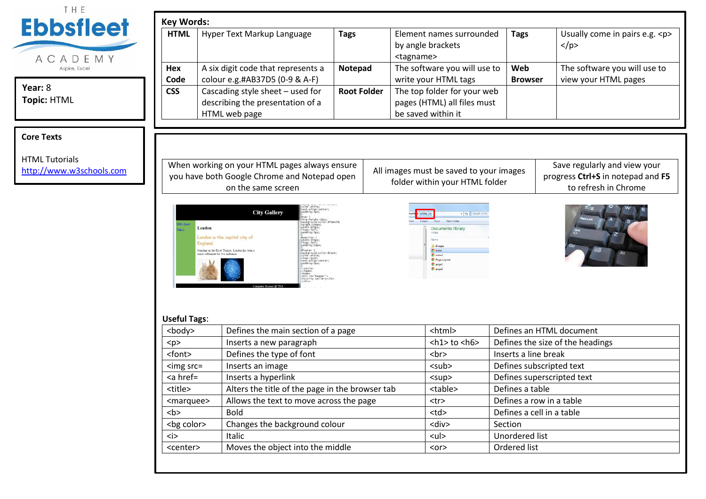| <b>Ebbsfleet</b><br><b>HTML</b><br>ACADEMY        | Hyper Text Markup Language                                                                                          | <b>Tags</b>        | Element names surrounded<br>by angle brackets<br><tagname></tagname>             | <b>Tags</b>           | Usually come in pairs e.g. <p><br/><math>&lt;</math>/p&gt;</p>                            |
|---------------------------------------------------|---------------------------------------------------------------------------------------------------------------------|--------------------|----------------------------------------------------------------------------------|-----------------------|-------------------------------------------------------------------------------------------|
| Hex<br>Aspire, Excel<br>Code                      | A six digit code that represents a<br>colour e.g.#AB37D5 (0-9 & A-F)                                                | Notepad            | The software you will use to<br>write your HTML tags                             | Web<br><b>Browser</b> | The software you will use to<br>view your HTML pages                                      |
| <b>CSS</b><br>Topic: HTML                         | Cascading style sheet - used for<br>describing the presentation of a<br>HTML web page                               | <b>Root Folder</b> | The top folder for your web<br>pages (HTML) all files must<br>be saved within it |                       |                                                                                           |
|                                                   |                                                                                                                     |                    |                                                                                  |                       |                                                                                           |
| <b>HTML Tutorials</b><br>http://www.w3schools.com | When working on your HTML pages always ensure<br>you have both Google Chrome and Notepad open<br>on the same screen |                    | All images must be saved to your images<br>folder within your HTML folder        |                       | Save regularly and view your<br>progress Ctrl+S in notepad and F5<br>to refresh in Chrome |

| <body></body>       | Defines the main section of a page              | <html></html>                | Defines an HTML document         |
|---------------------|-------------------------------------------------|------------------------------|----------------------------------|
| < p >               | Inserts a new paragraph                         | $\text{th1}$ to $\text{th6}$ | Defines the size of the headings |
| <font></font>       | Defines the type of font                        | <br><sub>2</sub>             | Inserts a line break             |
| $\leq$ img src=     | Inserts an image                                | $sub>$                       | Defines subscripted text         |
| $<$ a href=         | Inserts a hyperlink                             | $5$                          | Defines superscripted text       |
| <title></title>     | Alters the title of the page in the browser tab | <table></table>              | Defines a table                  |
| <marquee></marquee> | Allows the text to move across the page         | <tr></tr>                    | Defines a row in a table         |
|                     |                                                 |                              |                                  |
|                     | <b>Bold</b>                                     | $<$ td $>$                   | Defines a cell in a table        |
| <br>bg color>       | Changes the background colour                   | <div></div>                  | Section                          |
| $\langle i \rangle$ | <b>Italic</b>                                   | $ul$                         | Unordered list                   |
| <center></center>   | Moves the object into the middle                | $or$                         | Ordered list                     |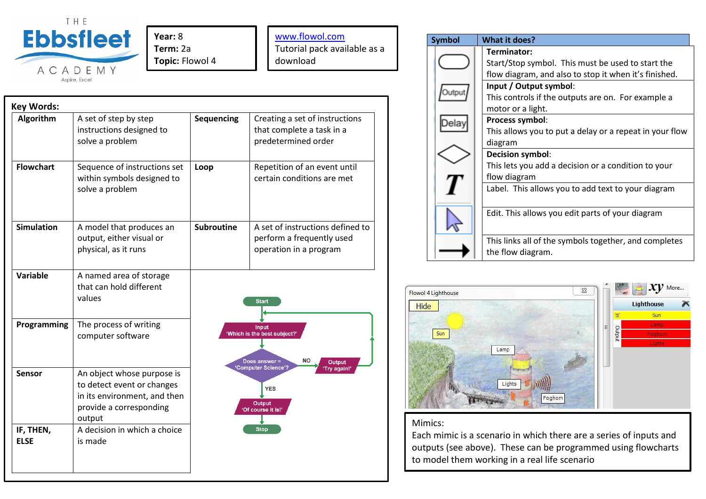

**Year:** 8 **Term:** 2a **Topic:** Flowol 4

[www.flowol.com](http://www.flowol.com/) Tutorial pack available as a download

| <b>Key Words:</b>        |                                                                                                                               |                                                                                   |                                                                                         |  |
|--------------------------|-------------------------------------------------------------------------------------------------------------------------------|-----------------------------------------------------------------------------------|-----------------------------------------------------------------------------------------|--|
| Algorithm                | A set of step by step<br>instructions designed to<br>solve a problem                                                          | Sequencing                                                                        | Creating a set of instructions<br>that complete a task in a<br>predetermined order      |  |
| <b>Flowchart</b>         | Sequence of instructions set<br>within symbols designed to<br>solve a problem                                                 | Loop                                                                              | Repetition of an event until<br>certain conditions are met                              |  |
| <b>Simulation</b>        | A model that produces an<br>output, either visual or<br>physical, as it runs                                                  | <b>Subroutine</b>                                                                 | A set of instructions defined to<br>perform a frequently used<br>operation in a program |  |
| <b>Variable</b>          | A named area of storage<br>that can hold different<br>values                                                                  |                                                                                   | <b>Start</b>                                                                            |  |
| Programming              | The process of writing<br>computer software                                                                                   | Input<br>'Which is the best subject?<br>NO<br>Does answer =<br><b>Output</b>      |                                                                                         |  |
| <b>Sensor</b>            | An object whose purpose is<br>to detect event or changes<br>in its environment, and then<br>provide a corresponding<br>output | 'Computer Science'?<br>'Try again!'<br><b>YES</b><br>Output<br>'Of course it is!' |                                                                                         |  |
| IF, THEN,<br><b>ELSE</b> | A decision in which a choice<br>is made                                                                                       |                                                                                   | <b>Stop</b>                                                                             |  |





## Mimics:

Each mimic is a scenario in which there are a series of inputs and outputs (see above). These can be programmed using flowcharts to model them working in a real life scenario